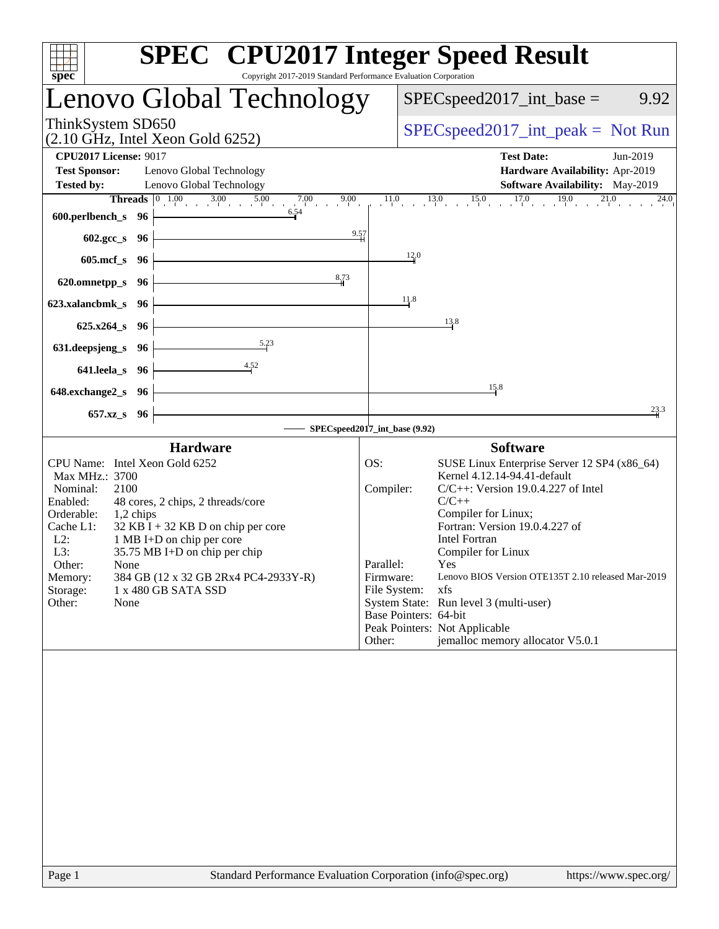| spec <sup>®</sup>                                                                                   |                                                                                                                                                                                | <b>SPEC<sup>®</sup></b> CPU2017 Integer Speed Result<br>Copyright 2017-2019 Standard Performance Evaluation Corporation                                                                                                                                                                                                                                             |
|-----------------------------------------------------------------------------------------------------|--------------------------------------------------------------------------------------------------------------------------------------------------------------------------------|---------------------------------------------------------------------------------------------------------------------------------------------------------------------------------------------------------------------------------------------------------------------------------------------------------------------------------------------------------------------|
|                                                                                                     | Lenovo Global Technology                                                                                                                                                       | $SPEC speed2017\_int\_base =$<br>9.92                                                                                                                                                                                                                                                                                                                               |
| ThinkSystem SD650                                                                                   | $(2.10 \text{ GHz}, \text{Intel Xeon Gold } 6252)$                                                                                                                             | $SPEC speed2017\_int\_peak = Not Run$                                                                                                                                                                                                                                                                                                                               |
| <b>CPU2017 License: 9017</b><br><b>Test Sponsor:</b><br><b>Tested by:</b>                           | Lenovo Global Technology<br>Lenovo Global Technology<br><b>Threads</b> $\begin{array}{ c c c c c } \hline 0 & 1.00 & 3.00 & 5.00 & 7.00 & 9.00 \ \hline \end{array}$           | <b>Test Date:</b><br>Jun-2019<br>Hardware Availability: Apr-2019<br>Software Availability: May-2019<br>$11.0$ $13.0$ $15.0$ $17.0$ $19.0$ $21.0$ $24.0$                                                                                                                                                                                                             |
| 600.perlbench_s $96$                                                                                | 6.54                                                                                                                                                                           | 9.57                                                                                                                                                                                                                                                                                                                                                                |
| 602.gcc_s 96  <br>605.mcf $s$ 96                                                                    | <u> 1980 - Johann Barn, mars ann an t-Aonaich an t-Aonaich an t-Aonaich an t-Aonaich an t-Aonaich ann an t-Aonaich</u>                                                         | 12.0                                                                                                                                                                                                                                                                                                                                                                |
| 620.omnetpp_s $96$                                                                                  | 8,73                                                                                                                                                                           |                                                                                                                                                                                                                                                                                                                                                                     |
| $623.xalanchmk_s$ 96                                                                                |                                                                                                                                                                                | 11.8                                                                                                                                                                                                                                                                                                                                                                |
| $625.x264_s$ 96<br>631.deepsjeng_s 96                                                               | 5.23                                                                                                                                                                           | 13.8                                                                                                                                                                                                                                                                                                                                                                |
| $641.$ leela_s $96$                                                                                 | $\overline{4.52}$                                                                                                                                                              |                                                                                                                                                                                                                                                                                                                                                                     |
| $648$ .exchange $2$ <sub>_S</sub> $96$                                                              |                                                                                                                                                                                | 15.8                                                                                                                                                                                                                                                                                                                                                                |
| 657.xz_s 96                                                                                         |                                                                                                                                                                                | 23.3<br>SPECspeed2017_int_base (9.92)                                                                                                                                                                                                                                                                                                                               |
|                                                                                                     | <b>Hardware</b>                                                                                                                                                                | <b>Software</b>                                                                                                                                                                                                                                                                                                                                                     |
| Max MHz.: 3700<br>Nominal:<br>2100<br>Enabled:                                                      | CPU Name: Intel Xeon Gold 6252<br>48 cores, 2 chips, 2 threads/core                                                                                                            | SUSE Linux Enterprise Server 12 SP4 (x86_64)<br>OS:<br>Kernel 4.12.14-94.41-default<br>$C/C++$ : Version 19.0.4.227 of Intel<br>Compiler:<br>$C/C++$                                                                                                                                                                                                                |
| Orderable:<br>Cache L1:<br>$L2$ :<br>L3:<br>Other:<br>None<br>Memory:<br>Storage:<br>Other:<br>None | 1,2 chips<br>$32$ KB I + 32 KB D on chip per core<br>1 MB I+D on chip per core<br>35.75 MB I+D on chip per chip<br>384 GB (12 x 32 GB 2Rx4 PC4-2933Y-R)<br>1 x 480 GB SATA SSD | Compiler for Linux;<br>Fortran: Version 19.0.4.227 of<br><b>Intel Fortran</b><br>Compiler for Linux<br>Parallel:<br>Yes<br>Lenovo BIOS Version OTE135T 2.10 released Mar-2019<br>Firmware:<br>File System:<br>xfs<br>System State: Run level 3 (multi-user)<br>Base Pointers: 64-bit<br>Peak Pointers: Not Applicable<br>jemalloc memory allocator V5.0.1<br>Other: |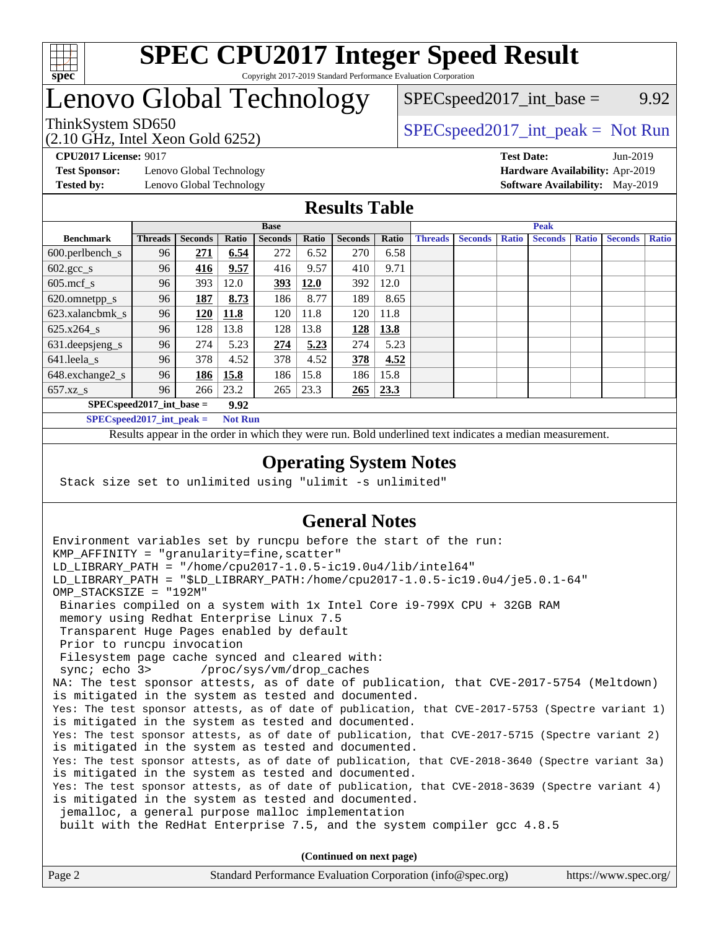

# Lenovo Global Technology

 $SPEC speed2017\_int\_base =$  9.92

(2.10 GHz, Intel Xeon Gold 6252)

ThinkSystem SD650  $SPEC speed2017\_int\_peak = Not Run$ 

**[Test Sponsor:](http://www.spec.org/auto/cpu2017/Docs/result-fields.html#TestSponsor)** Lenovo Global Technology **[Hardware Availability:](http://www.spec.org/auto/cpu2017/Docs/result-fields.html#HardwareAvailability)** Apr-2019

**[CPU2017 License:](http://www.spec.org/auto/cpu2017/Docs/result-fields.html#CPU2017License)** 9017 **[Test Date:](http://www.spec.org/auto/cpu2017/Docs/result-fields.html#TestDate)** Jun-2019 **[Tested by:](http://www.spec.org/auto/cpu2017/Docs/result-fields.html#Testedby)** Lenovo Global Technology **[Software Availability:](http://www.spec.org/auto/cpu2017/Docs/result-fields.html#SoftwareAvailability)** May-2019

### **[Results Table](http://www.spec.org/auto/cpu2017/Docs/result-fields.html#ResultsTable)**

|                            | <b>Base</b>    |                |       |                | <b>Peak</b> |                |       |                |                |              |                |              |                |              |
|----------------------------|----------------|----------------|-------|----------------|-------------|----------------|-------|----------------|----------------|--------------|----------------|--------------|----------------|--------------|
| <b>Benchmark</b>           | <b>Threads</b> | <b>Seconds</b> | Ratio | <b>Seconds</b> | Ratio       | <b>Seconds</b> | Ratio | <b>Threads</b> | <b>Seconds</b> | <b>Ratio</b> | <b>Seconds</b> | <b>Ratio</b> | <b>Seconds</b> | <b>Ratio</b> |
| $600.$ perlbench_s         | 96             | 271            | 6.54  | 272            | 6.52        | 270            | 6.58  |                |                |              |                |              |                |              |
| $602.\text{gcc}\_\text{s}$ | 96             | 416            | 9.57  | 416            | 9.57        | 410            | 9.71  |                |                |              |                |              |                |              |
| $605$ .mcf s               | 96             | 393            | 12.0  | 393            | 12.0        | 392            | 12.0  |                |                |              |                |              |                |              |
| 620.omnetpp_s              | 96             | 187            | 8.73  | 186            | 8.77        | 189            | 8.65  |                |                |              |                |              |                |              |
| 623.xalancbmk s            | 96             | 120            | 11.8  | 120            | 11.8        | 120            | 11.8  |                |                |              |                |              |                |              |
| 625.x264 s                 | 96             | 128            | 13.8  | 128            | 13.8        | 128            | 13.8  |                |                |              |                |              |                |              |
| 631.deepsjeng_s            | 96             | 274            | 5.23  | 274            | 5.23        | 274            | 5.23  |                |                |              |                |              |                |              |
| 641.leela s                | 96             | 378            | 4.52  | 378            | 4.52        | 378            | 4.52  |                |                |              |                |              |                |              |
| 648.exchange2_s            | 96             | 186            | 15.8  | 186            | 15.8        | 186            | 15.8  |                |                |              |                |              |                |              |
| $657.xz$ <sub>S</sub>      | 96             | 266            | 23.2  | 265            | 23.3        | 265            | 23.3  |                |                |              |                |              |                |              |
| $SPECspeed2017$ int base = |                |                | 9.92  |                |             |                |       |                |                |              |                |              |                |              |

**[SPECspeed2017\\_int\\_peak =](http://www.spec.org/auto/cpu2017/Docs/result-fields.html#SPECspeed2017intpeak) Not Run**

Results appear in the [order in which they were run.](http://www.spec.org/auto/cpu2017/Docs/result-fields.html#RunOrder) Bold underlined text [indicates a median measurement.](http://www.spec.org/auto/cpu2017/Docs/result-fields.html#Median)

#### **[Operating System Notes](http://www.spec.org/auto/cpu2017/Docs/result-fields.html#OperatingSystemNotes)**

Stack size set to unlimited using "ulimit -s unlimited"

### **[General Notes](http://www.spec.org/auto/cpu2017/Docs/result-fields.html#GeneralNotes)**

Environment variables set by runcpu before the start of the run: KMP AFFINITY = "granularity=fine, scatter" LD\_LIBRARY\_PATH = "/home/cpu2017-1.0.5-ic19.0u4/lib/intel64" LD\_LIBRARY\_PATH = "\$LD\_LIBRARY\_PATH:/home/cpu2017-1.0.5-ic19.0u4/je5.0.1-64" OMP\_STACKSIZE = "192M" Binaries compiled on a system with 1x Intel Core i9-799X CPU + 32GB RAM memory using Redhat Enterprise Linux 7.5 Transparent Huge Pages enabled by default Prior to runcpu invocation Filesystem page cache synced and cleared with: sync; echo 3> /proc/sys/vm/drop\_caches NA: The test sponsor attests, as of date of publication, that CVE-2017-5754 (Meltdown) is mitigated in the system as tested and documented. Yes: The test sponsor attests, as of date of publication, that CVE-2017-5753 (Spectre variant 1) is mitigated in the system as tested and documented. Yes: The test sponsor attests, as of date of publication, that CVE-2017-5715 (Spectre variant 2) is mitigated in the system as tested and documented. Yes: The test sponsor attests, as of date of publication, that CVE-2018-3640 (Spectre variant 3a) is mitigated in the system as tested and documented. Yes: The test sponsor attests, as of date of publication, that CVE-2018-3639 (Spectre variant 4) is mitigated in the system as tested and documented. jemalloc, a general purpose malloc implementation built with the RedHat Enterprise 7.5, and the system compiler gcc 4.8.5 **(Continued on next page)**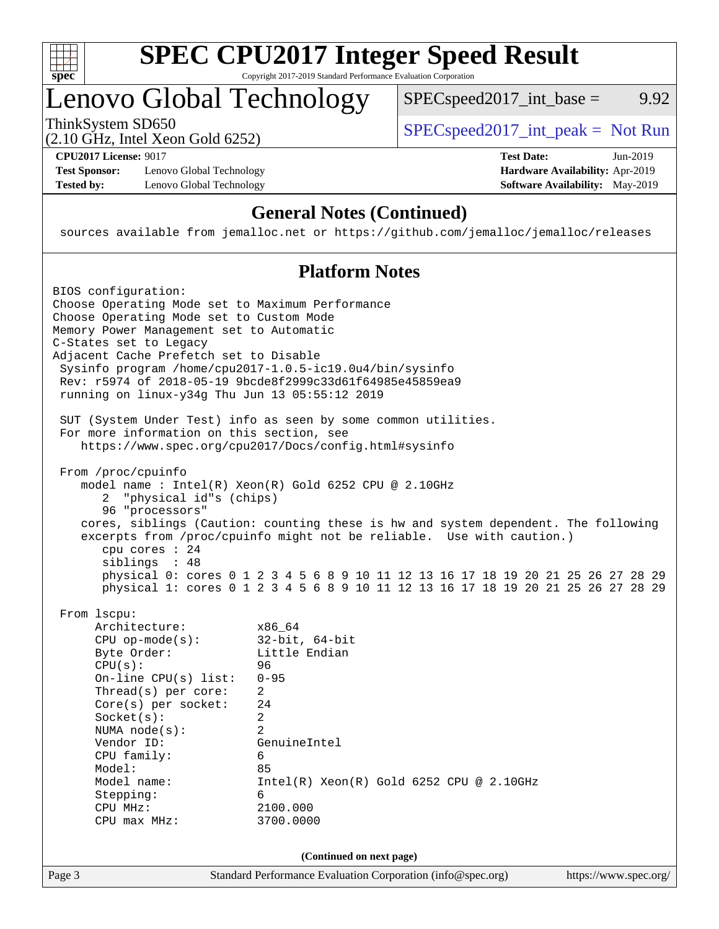

# **[SPEC CPU2017 Integer Speed Result](http://www.spec.org/auto/cpu2017/Docs/result-fields.html#SPECCPU2017IntegerSpeedResult)**

Copyright 2017-2019 Standard Performance Evaluation Corporation

# Lenovo Global Technology

ThinkSystem SD650<br>  $(2.10 \text{ GHz. Intel Yoon Gold } 6252)$  [SPECspeed2017\\_int\\_peak =](http://www.spec.org/auto/cpu2017/Docs/result-fields.html#SPECspeed2017intpeak) Not Run

 $SPECspeed2017\_int\_base =$  9.92

(2.10 GHz, Intel Xeon Gold 6252)

**[CPU2017 License:](http://www.spec.org/auto/cpu2017/Docs/result-fields.html#CPU2017License)** 9017 **[Test Date:](http://www.spec.org/auto/cpu2017/Docs/result-fields.html#TestDate)** Jun-2019

**[Test Sponsor:](http://www.spec.org/auto/cpu2017/Docs/result-fields.html#TestSponsor)** Lenovo Global Technology **[Hardware Availability:](http://www.spec.org/auto/cpu2017/Docs/result-fields.html#HardwareAvailability)** Apr-2019 **[Tested by:](http://www.spec.org/auto/cpu2017/Docs/result-fields.html#Testedby)** Lenovo Global Technology **[Software Availability:](http://www.spec.org/auto/cpu2017/Docs/result-fields.html#SoftwareAvailability)** May-2019

# **[General Notes \(Continued\)](http://www.spec.org/auto/cpu2017/Docs/result-fields.html#GeneralNotes)**

sources available from jemalloc.net or <https://github.com/jemalloc/jemalloc/releases>

### **[Platform Notes](http://www.spec.org/auto/cpu2017/Docs/result-fields.html#PlatformNotes)**

| BIOS configuration:<br>Choose Operating Mode set to Maximum Performance<br>Choose Operating Mode set to Custom Mode<br>Memory Power Management set to Automatic<br>C-States set to Legacy<br>Adjacent Cache Prefetch set to Disable<br>Sysinfo program /home/cpu2017-1.0.5-ic19.0u4/bin/sysinfo<br>Rev: r5974 of 2018-05-19 9bcde8f2999c33d61f64985e45859ea9<br>running on linux-y34g Thu Jun 13 05:55:12 2019<br>SUT (System Under Test) info as seen by some common utilities.                                |
|-----------------------------------------------------------------------------------------------------------------------------------------------------------------------------------------------------------------------------------------------------------------------------------------------------------------------------------------------------------------------------------------------------------------------------------------------------------------------------------------------------------------|
| For more information on this section, see<br>https://www.spec.org/cpu2017/Docs/config.html#sysinfo                                                                                                                                                                                                                                                                                                                                                                                                              |
| From /proc/cpuinfo<br>model name : Intel(R) Xeon(R) Gold 6252 CPU @ 2.10GHz<br>"physical id"s (chips)<br>2<br>96 "processors"<br>cores, siblings (Caution: counting these is hw and system dependent. The following<br>excerpts from /proc/cpuinfo might not be reliable. Use with caution.)<br>cpu cores $: 24$<br>siblings : 48<br>physical 0: cores 0 1 2 3 4 5 6 8 9 10 11 12 13 16 17 18 19 20 21 25 26 27 28 29<br>physical 1: cores 0 1 2 3 4 5 6 8 9 10 11 12 13 16 17 18 19 20 21 25 26 27 28 29       |
| From 1scpu:<br>Architecture:<br>x86 64<br>$32$ -bit, $64$ -bit<br>$CPU$ op-mode( $s$ ):<br>Little Endian<br>Byte Order:<br>CPU(s):<br>96<br>$0 - 95$<br>$On$ -line CPU $(s)$ list:<br>Thread(s) per core:<br>2<br>2.4<br>Core(s) per socket:<br>Socket(s):<br>$\overline{2}$<br>NUMA $node(s):$<br>2<br>Vendor ID:<br>GenuineIntel<br>CPU family:<br>6<br>Model:<br>85<br>Model name:<br>$Intel(R) Xeon(R) Gold 6252 CPU @ 2.10GHz$<br>6<br>Stepping:<br>CPU MHz:<br>2100.000<br>3700.0000<br>$CPU$ max $MHz$ : |
| (Continued on next page)<br>Page 3<br>Standard Performance Evaluation Corporation (info@spec.org)<br>https://www.spec.org/                                                                                                                                                                                                                                                                                                                                                                                      |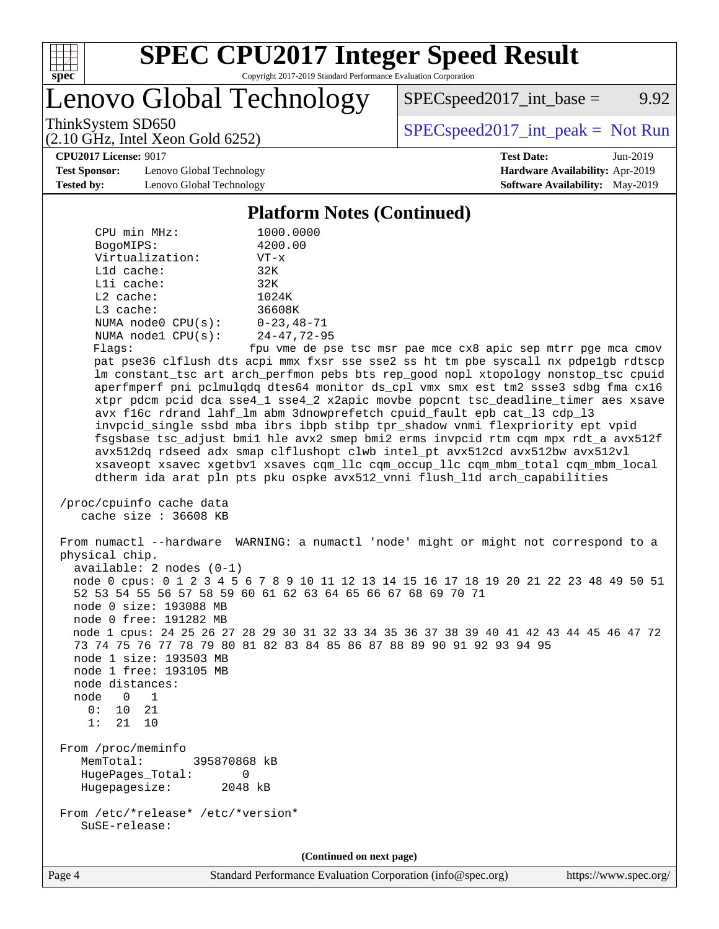

# **[SPEC CPU2017 Integer Speed Result](http://www.spec.org/auto/cpu2017/Docs/result-fields.html#SPECCPU2017IntegerSpeedResult)**

Copyright 2017-2019 Standard Performance Evaluation Corporation

Lenovo Global Technology

 $SPEC speed2017\_int\_base =$  9.92

(2.10 GHz, Intel Xeon Gold 6252)

ThinkSystem SD650<br>  $(2.10 \text{ GHz. Intel Yoon Gold } 6252)$  [SPECspeed2017\\_int\\_peak =](http://www.spec.org/auto/cpu2017/Docs/result-fields.html#SPECspeed2017intpeak) Not Run

**[CPU2017 License:](http://www.spec.org/auto/cpu2017/Docs/result-fields.html#CPU2017License)** 9017 **[Test Date:](http://www.spec.org/auto/cpu2017/Docs/result-fields.html#TestDate)** Jun-2019

**[Test Sponsor:](http://www.spec.org/auto/cpu2017/Docs/result-fields.html#TestSponsor)** Lenovo Global Technology **[Hardware Availability:](http://www.spec.org/auto/cpu2017/Docs/result-fields.html#HardwareAvailability)** Apr-2019 **[Tested by:](http://www.spec.org/auto/cpu2017/Docs/result-fields.html#Testedby)** Lenovo Global Technology **[Software Availability:](http://www.spec.org/auto/cpu2017/Docs/result-fields.html#SoftwareAvailability)** May-2019

#### **[Platform Notes \(Continued\)](http://www.spec.org/auto/cpu2017/Docs/result-fields.html#PlatformNotes)**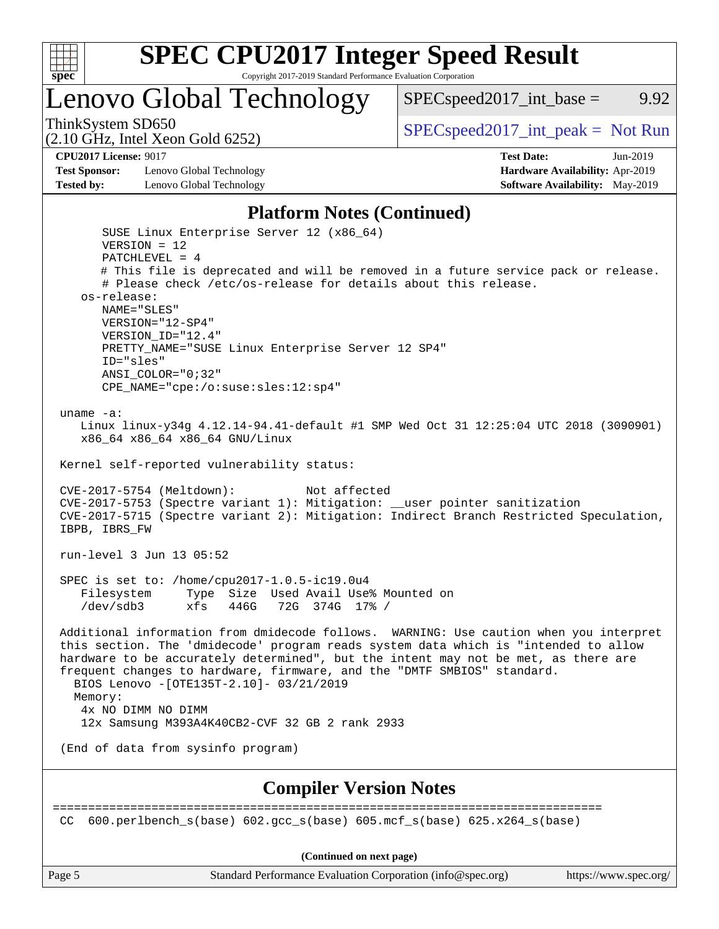

Lenovo Global Technology

ThinkSystem SD650  $SPEC speed2017\_int\_peak = Not Run$ 

 $SPEC speed2017\_int\_base =$  9.92

(2.10 GHz, Intel Xeon Gold 6252) **[CPU2017 License:](http://www.spec.org/auto/cpu2017/Docs/result-fields.html#CPU2017License)** 9017 **[Test Date:](http://www.spec.org/auto/cpu2017/Docs/result-fields.html#TestDate)** Jun-2019

**[Test Sponsor:](http://www.spec.org/auto/cpu2017/Docs/result-fields.html#TestSponsor)** Lenovo Global Technology **[Hardware Availability:](http://www.spec.org/auto/cpu2017/Docs/result-fields.html#HardwareAvailability)** Apr-2019 **[Tested by:](http://www.spec.org/auto/cpu2017/Docs/result-fields.html#Testedby)** Lenovo Global Technology **[Software Availability:](http://www.spec.org/auto/cpu2017/Docs/result-fields.html#SoftwareAvailability)** May-2019

#### **[Platform Notes \(Continued\)](http://www.spec.org/auto/cpu2017/Docs/result-fields.html#PlatformNotes)**

 SUSE Linux Enterprise Server 12 (x86\_64) VERSION = 12 PATCHLEVEL = 4 # This file is deprecated and will be removed in a future service pack or release. # Please check /etc/os-release for details about this release. os-release: NAME="SLES" VERSION="12-SP4" VERSION\_ID="12.4" PRETTY\_NAME="SUSE Linux Enterprise Server 12 SP4" ID="sles" ANSI\_COLOR="0;32" CPE\_NAME="cpe:/o:suse:sles:12:sp4" uname -a: Linux linux-y34g 4.12.14-94.41-default #1 SMP Wed Oct 31 12:25:04 UTC 2018 (3090901) x86\_64 x86\_64 x86\_64 GNU/Linux Kernel self-reported vulnerability status: CVE-2017-5754 (Meltdown): Not affected CVE-2017-5753 (Spectre variant 1): Mitigation: \_\_user pointer sanitization CVE-2017-5715 (Spectre variant 2): Mitigation: Indirect Branch Restricted Speculation, IBPB, IBRS\_FW run-level 3 Jun 13 05:52 SPEC is set to: /home/cpu2017-1.0.5-ic19.0u4 Filesystem Type Size Used Avail Use% Mounted on /dev/sdb3 xfs 446G 72G 374G 17% / Additional information from dmidecode follows. WARNING: Use caution when you interpret this section. The 'dmidecode' program reads system data which is "intended to allow hardware to be accurately determined", but the intent may not be met, as there are frequent changes to hardware, firmware, and the "DMTF SMBIOS" standard. BIOS Lenovo -[OTE135T-2.10]- 03/21/2019 Memory: 4x NO DIMM NO DIMM 12x Samsung M393A4K40CB2-CVF 32 GB 2 rank 2933 (End of data from sysinfo program) **[Compiler Version Notes](http://www.spec.org/auto/cpu2017/Docs/result-fields.html#CompilerVersionNotes)** ============================================================================== CC  $600.perlbench$  s(base)  $602.qcc$  s(base)  $605.mcf$  s(base)  $625.x264$  s(base)

**(Continued on next page)**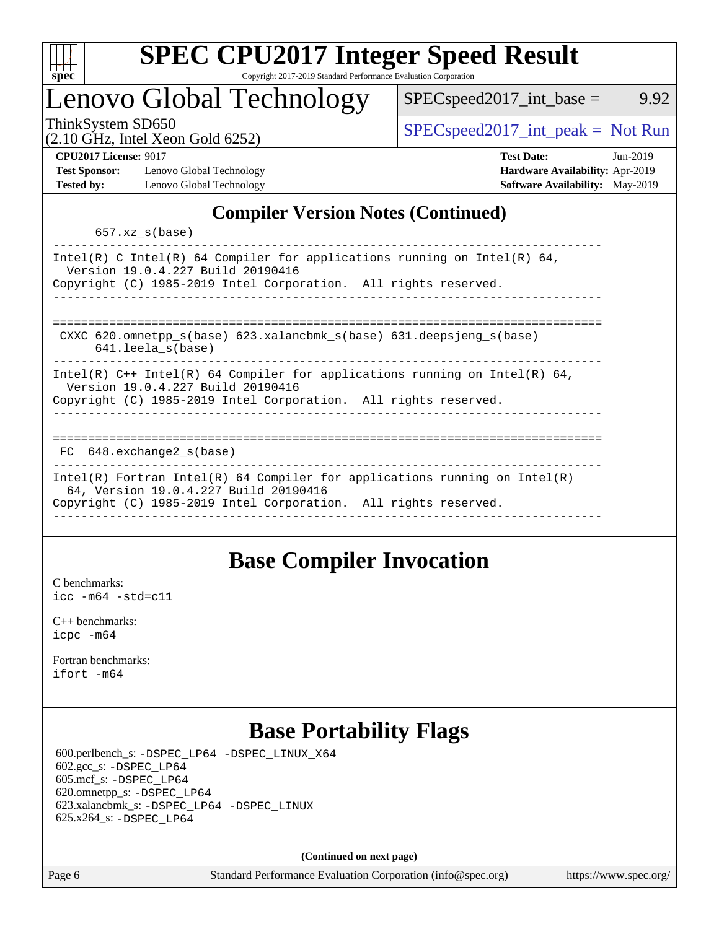

### Lenovo Global Technology

ThinkSystem SD650  $SPEC speed2017\_int\_peak = Not Run$ 

 $SPEC speed2017\_int\_base =$  9.92

#### (2.10 GHz, Intel Xeon Gold 6252)

**[CPU2017 License:](http://www.spec.org/auto/cpu2017/Docs/result-fields.html#CPU2017License)** 9017 **[Test Date:](http://www.spec.org/auto/cpu2017/Docs/result-fields.html#TestDate)** Jun-2019 **[Test Sponsor:](http://www.spec.org/auto/cpu2017/Docs/result-fields.html#TestSponsor)** Lenovo Global Technology **[Hardware Availability:](http://www.spec.org/auto/cpu2017/Docs/result-fields.html#HardwareAvailability)** Apr-2019 **[Tested by:](http://www.spec.org/auto/cpu2017/Docs/result-fields.html#Testedby)** Lenovo Global Technology **[Software Availability:](http://www.spec.org/auto/cpu2017/Docs/result-fields.html#SoftwareAvailability)** May-2019

### **[Compiler Version Notes \(Continued\)](http://www.spec.org/auto/cpu2017/Docs/result-fields.html#CompilerVersionNotes)**

657.xz\_s(base)

| Intel(R) C Intel(R) 64 Compiler for applications running on Intel(R) 64,<br>Version 19.0.4.227 Build 20190416<br>Copyright (C) 1985-2019 Intel Corporation. All rights reserved.     |
|--------------------------------------------------------------------------------------------------------------------------------------------------------------------------------------|
|                                                                                                                                                                                      |
| CXXC $620$ . omnetpp $s(base)$ $623$ . xalancbmk $s(base)$ $631$ . deepsjeng $s(base)$<br>$641.$ leela $s(base)$                                                                     |
| Intel(R) $C++$ Intel(R) 64 Compiler for applications running on Intel(R) 64,<br>Version 19.0.4.227 Build 20190416<br>Copyright (C) 1985-2019 Intel Corporation. All rights reserved. |
|                                                                                                                                                                                      |
| $FC$ 648. exchange 2 $s$ (base)                                                                                                                                                      |
| Intel(R) Fortran Intel(R) 64 Compiler for applications running on Intel(R)<br>64, Version 19.0.4.227 Build 20190416                                                                  |
| Copyright (C) 1985-2019 Intel Corporation. All rights reserved.                                                                                                                      |
|                                                                                                                                                                                      |

### **[Base Compiler Invocation](http://www.spec.org/auto/cpu2017/Docs/result-fields.html#BaseCompilerInvocation)**

[C benchmarks](http://www.spec.org/auto/cpu2017/Docs/result-fields.html#Cbenchmarks): [icc -m64 -std=c11](http://www.spec.org/cpu2017/results/res2019q3/cpu2017-20190624-15490.flags.html#user_CCbase_intel_icc_64bit_c11_33ee0cdaae7deeeab2a9725423ba97205ce30f63b9926c2519791662299b76a0318f32ddfffdc46587804de3178b4f9328c46fa7c2b0cd779d7a61945c91cd35)

[C++ benchmarks:](http://www.spec.org/auto/cpu2017/Docs/result-fields.html#CXXbenchmarks) [icpc -m64](http://www.spec.org/cpu2017/results/res2019q3/cpu2017-20190624-15490.flags.html#user_CXXbase_intel_icpc_64bit_4ecb2543ae3f1412ef961e0650ca070fec7b7afdcd6ed48761b84423119d1bf6bdf5cad15b44d48e7256388bc77273b966e5eb805aefd121eb22e9299b2ec9d9)

[Fortran benchmarks](http://www.spec.org/auto/cpu2017/Docs/result-fields.html#Fortranbenchmarks): [ifort -m64](http://www.spec.org/cpu2017/results/res2019q3/cpu2017-20190624-15490.flags.html#user_FCbase_intel_ifort_64bit_24f2bb282fbaeffd6157abe4f878425411749daecae9a33200eee2bee2fe76f3b89351d69a8130dd5949958ce389cf37ff59a95e7a40d588e8d3a57e0c3fd751)

### **[Base Portability Flags](http://www.spec.org/auto/cpu2017/Docs/result-fields.html#BasePortabilityFlags)**

 600.perlbench\_s: [-DSPEC\\_LP64](http://www.spec.org/cpu2017/results/res2019q3/cpu2017-20190624-15490.flags.html#b600.perlbench_s_basePORTABILITY_DSPEC_LP64) [-DSPEC\\_LINUX\\_X64](http://www.spec.org/cpu2017/results/res2019q3/cpu2017-20190624-15490.flags.html#b600.perlbench_s_baseCPORTABILITY_DSPEC_LINUX_X64) 602.gcc\_s: [-DSPEC\\_LP64](http://www.spec.org/cpu2017/results/res2019q3/cpu2017-20190624-15490.flags.html#suite_basePORTABILITY602_gcc_s_DSPEC_LP64) 605.mcf\_s: [-DSPEC\\_LP64](http://www.spec.org/cpu2017/results/res2019q3/cpu2017-20190624-15490.flags.html#suite_basePORTABILITY605_mcf_s_DSPEC_LP64) 620.omnetpp\_s: [-DSPEC\\_LP64](http://www.spec.org/cpu2017/results/res2019q3/cpu2017-20190624-15490.flags.html#suite_basePORTABILITY620_omnetpp_s_DSPEC_LP64) 623.xalancbmk\_s: [-DSPEC\\_LP64](http://www.spec.org/cpu2017/results/res2019q3/cpu2017-20190624-15490.flags.html#suite_basePORTABILITY623_xalancbmk_s_DSPEC_LP64) [-DSPEC\\_LINUX](http://www.spec.org/cpu2017/results/res2019q3/cpu2017-20190624-15490.flags.html#b623.xalancbmk_s_baseCXXPORTABILITY_DSPEC_LINUX) 625.x264\_s: [-DSPEC\\_LP64](http://www.spec.org/cpu2017/results/res2019q3/cpu2017-20190624-15490.flags.html#suite_basePORTABILITY625_x264_s_DSPEC_LP64)

**(Continued on next page)**

Page 6 Standard Performance Evaluation Corporation [\(info@spec.org\)](mailto:info@spec.org) <https://www.spec.org/>